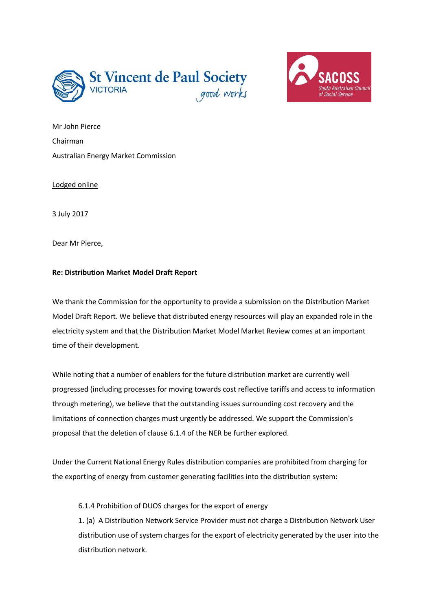



Mr John Pierce Chairman Australian Energy Market Commission

Lodged online

3 July 2017

Dear Mr Pierce,

## **Re: Distribution Market Model Draft Report**

We thank the Commission for the opportunity to provide a submission on the Distribution Market Model Draft Report. We believe that distributed energy resources will play an expanded role in the electricity system and that the Distribution Market Model Market Review comes at an important time of their development.

While noting that a number of enablers for the future distribution market are currently well progressed (including processes for moving towards cost reflective tariffs and access to information through metering), we believe that the outstanding issues surrounding cost recovery and the limitations of connection charges must urgently be addressed. We support the Commission's proposal that the deletion of clause 6.1.4 of the NER be further explored.

Under the Current National Energy Rules distribution companies are prohibited from charging for the exporting of energy from customer generating facilities into the distribution system:

6.1.4 Prohibition of DUOS charges for the export of energy

1. (a) A Distribution Network Service Provider must not charge a Distribution Network User distribution use of system charges for the export of electricity generated by the user into the distribution network.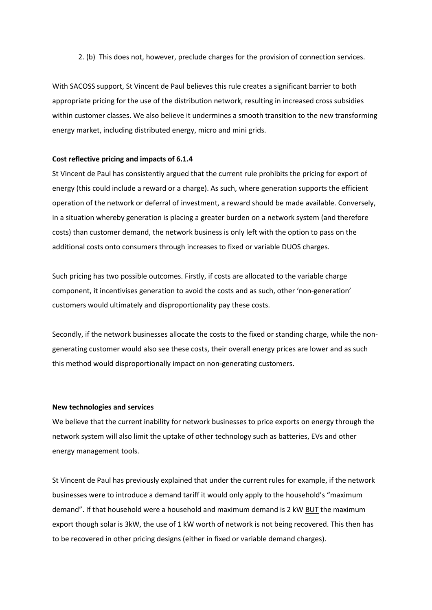2. (b) This does not, however, preclude charges for the provision of connection services.

With SACOSS support, St Vincent de Paul believes this rule creates a significant barrier to both appropriate pricing for the use of the distribution network, resulting in increased cross subsidies within customer classes. We also believe it undermines a smooth transition to the new transforming energy market, including distributed energy, micro and mini grids.

## **Cost reflective pricing and impacts of 6.1.4**

St Vincent de Paul has consistently argued that the current rule prohibits the pricing for export of energy (this could include a reward or a charge). As such, where generation supports the efficient operation of the network or deferral of investment, a reward should be made available. Conversely, in a situation whereby generation is placing a greater burden on a network system (and therefore costs) than customer demand, the network business is only left with the option to pass on the additional costs onto consumers through increases to fixed or variable DUOS charges.

Such pricing has two possible outcomes. Firstly, if costs are allocated to the variable charge component, it incentivises generation to avoid the costs and as such, other 'non-generation' customers would ultimately and disproportionality pay these costs.

Secondly, if the network businesses allocate the costs to the fixed or standing charge, while the nongenerating customer would also see these costs, their overall energy prices are lower and as such this method would disproportionally impact on non-generating customers.

## **New technologies and services**

We believe that the current inability for network businesses to price exports on energy through the network system will also limit the uptake of other technology such as batteries, EVs and other energy management tools.

St Vincent de Paul has previously explained that under the current rules for example, if the network businesses were to introduce a demand tariff it would only apply to the household's "maximum demand". If that household were a household and maximum demand is 2 kW BUT the maximum export though solar is 3kW, the use of 1 kW worth of network is not being recovered. This then has to be recovered in other pricing designs (either in fixed or variable demand charges).